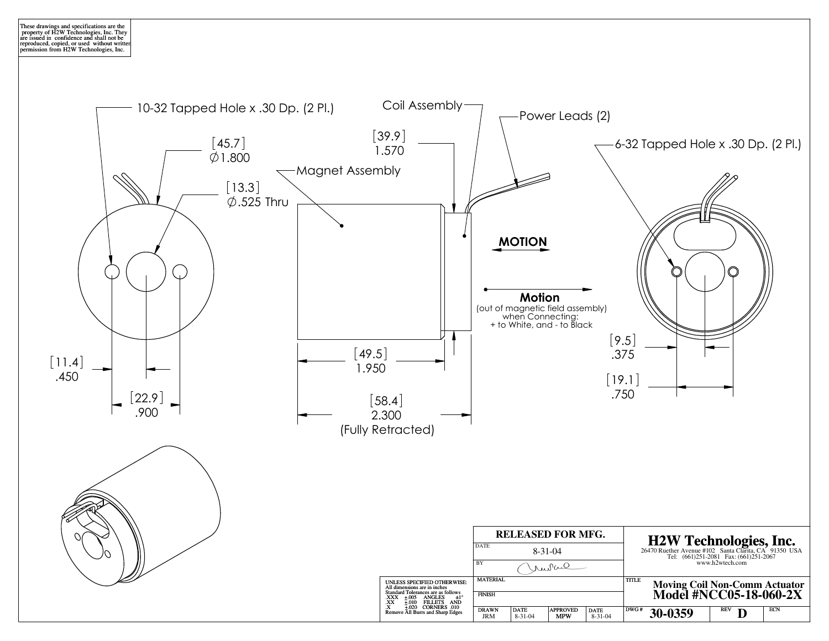